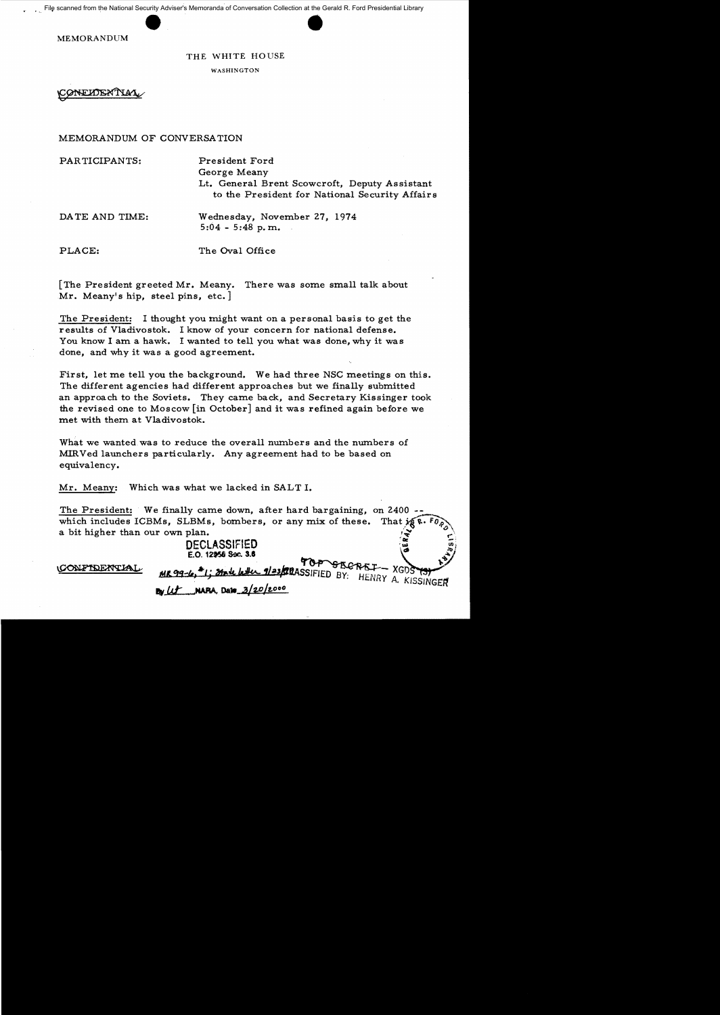File scanned from the National Security Adviser's Memoranda of Conversation Collection at the Gerald R. Ford Presidential Library

MEMORANDUM

### THE WHITE HOUSE

WASHINGTON

**CONELDEXTIAT** 

MEMORANDUM OF CONVERSATION

PARTICIPANTS: President Ford

George Meany Lt. General Brent Scowcroft, Deputy Assistant to the President for National Security Affairs

DATE AND TIME: Wednesday, November 27, 1974 5:04 - 5:48 p. m.

PLACE: The Oval Office

[The President greeted Mr. Meany. There was some small talk about Mr. Meany's hip, steel pins, etc.]

The President: I thought you might want on a personal basis to get the results of Vladivostok. I know of your concern for national defense. You know I am a hawk. I wanted to tell you what was done, why it was done, and why it was a good agreement.

First, let me tell you the background. We had three NSC meetings on this. The different agencies had different approaches but we finally submitted an approach to the Soviets. They came back, and Secretary Kissinger took the revised one to Moscow [in October] and it was refined again before we met with them at Vladivostok.

What we wanted was to reduce the overall numbers and the numbers of MIRVed launchers particularly. Any agreement had to be based on equivalency.

Mr. Meany: Which was what we lacked in SALT I.

The President: We finally came down, after hard bargaining, on 2400 which includes ICBMs, SLBMs, bombers, or any mix of these. That  $\mathbf{X}^T$ . a bit higher than our own plan.

MR99-6,<sup>\*</sup>1; State 6th 123/20ASSIFIED BY: HENRY A. KISSINGER

# DECLASSIFIED  $E.$ O. 12956 Soc. 3.6

**By** Let **NARA**, Date 3/20/2000

CONFIDENTIA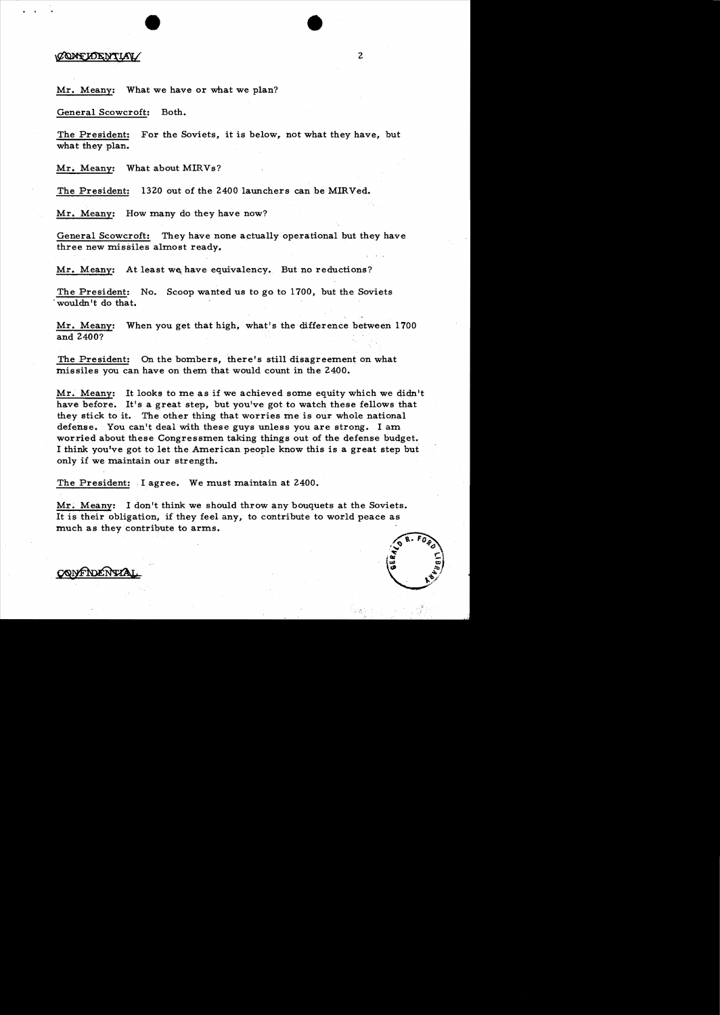## CONFIDENTIAL

### Mr. Meany: What we have or what we plan?

General Scowcroft: Both.

The President: For the Soviets, it is below, not what they have, but what they plan.

2

Mr. Meany: What about MIRVs?

The President: 1320 out of the 2400 launchers can be MIRVed.

Mr. Meany: How many do they have now?

General Scowcroft: They have none actually operational but they have three new missiles almost ready.

Mr. Meany: At least we have equivalency. But no reductions?

The President: No. Scoop wanted us to go to 1700, but the Soviets .wouldn't do that.

Mr. Meany: When you get that high, what's the difference between 1700 and 2400?

The President: On the bombers, there's still disagreement on what missiles you can have on them that would count in the 2400.

Mr. Meany: It looks to me as if we achieved some equity which we didn't have before. It's a great step, but you've got to watch these fellows that they stick to it. The other thing that worries me is our whole national defense. You can't deal with these guys unless you are strong. I am worried about these Congressmen taking things out of the defense budget. I think you've got to let the American people know this is a great step but only if we maintain our strength.

The President: I agree. We must maintain at 2400.

Mr. Meany: I don't think we should throw any bouquets at the Soviets. It is their obligation, if they feel any, to contribute to world peace as much as they contribute to arms. It is their obligation, if they feel any, to contribute to world peace as<br>much as they contribute to arms.

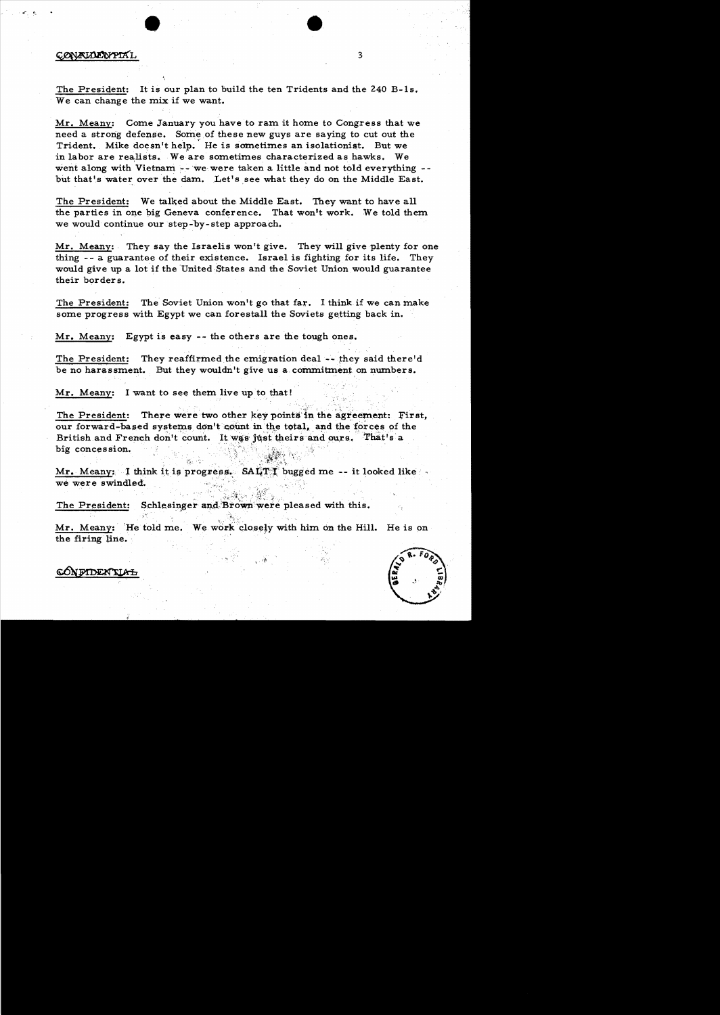# CONFINENTAL 3

The President: It is our plan to build the ten Tridents and the  $240$  B-1s. We can change the mix if we want.

Mr. Meany: Come January you have to ram it home to Congress that we need a strong defense. Some of these new guys are saying to cut out the Trident. Mike doesn't help. He is sometimes an isolationist. But we in labor are realists. We are sometimes characterized as hawks. We went along with Vietnam -- we were taken a little and not told everything but that's water over the dam. Let's see what they do on the Middle East.

The President: We talked about the Middle East. They want to have all the parties in one big Geneva conference. That won't work. We told them we would continue our step-by-step approach.

Mr. Meany: They say the Israelis won't give. They will give plenty for one thing -- a guarantee of their existence. Israel is fighting for its life. They would give up a lot if the United States and the Soviet Union would guarantee their borders.

The President: The Soviet Union won't go that far. I think if we can make some progress with Egypt we can forestall the Soviets getting back in.

Mr. Meany: Egypt is easy -- the others are the tough ones.

The President: They reaffirmed the emigration deal  $\sim$  they said there'd be no harassment. But they wouldn't give us a commitment on numbers.

Mr. Meany: I want to see them live up to that!

The President: There were two other key points in the agreement: First, our forward-based systems don't count in the total, and the forces of the British and French don't count. It was just theirs and ours. That's a big concession.

Mr. Meany: I think it is progress.  $SA$ iff bugged me -- it looked like we were swindled.

 $\mathbb{R}_+ \times \mathbb{R}^n \times \mathbb{R}$ 

The President: Schlesinger and Brown were pleased with this.

Mr. Meany: 'He told me. We work closely with him on the Hill. He is on the firing line.



<mark>ca</mark>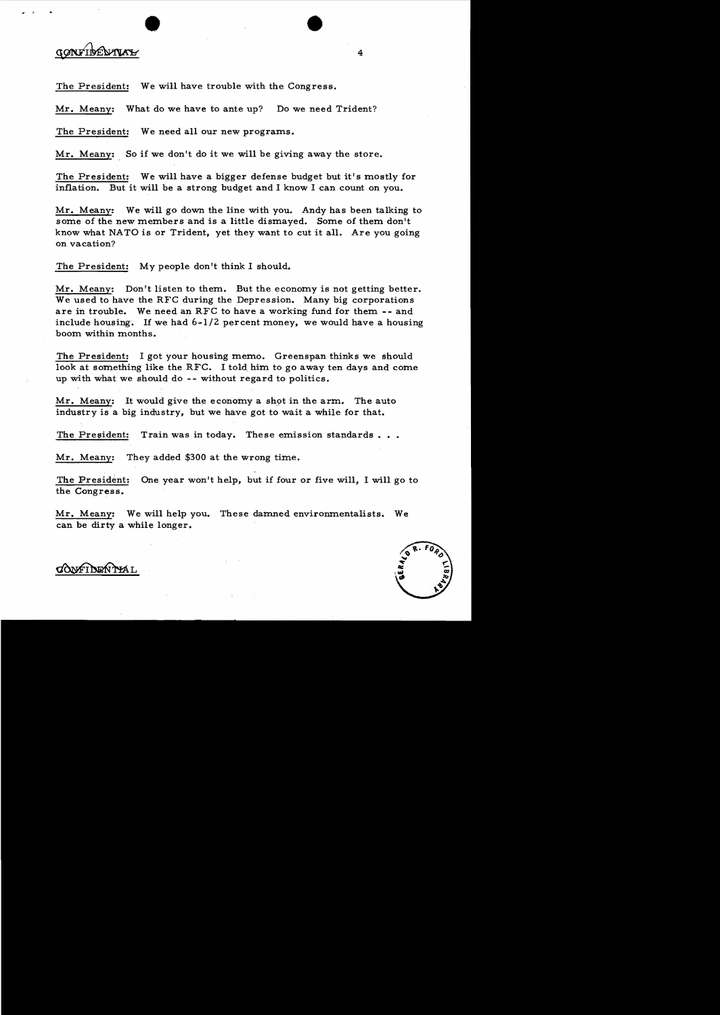# gonribeurus

The President: We will have trouble with the Congress.

Mr. Meany: What do we have to ante up? Do we need Trident?

The President: We need all our new programs.

Mr. Meany: So if we don't do it we will be giving away the store.

The President: We will have a bigger defense budget but it's mostly for inflation. But it will be a strong budget and I know I can count on you.

Mr. Meany: We will go down the line with you. Andy has been talking to some of the new members and is a little dismayed. Some of them don't know what NATO is or Trident, yet they want to cut it all. Are you going on vacation?

The President: My people don't think I should.

Mr. Meany: Don't listen to them. But the economy is not getting better. We used to have the RFC during the Depression. Many big corporations are in trouble. We need an RFC to have a working fund for them - - and include housing. If we had  $6-1/2$  percent money, we would have a housing boom within months.

The President: I got your housing memo. Greenspan thinks we should look at something like the RFC. I told him to go away ten days and come up with what we should do -- without regard to politics.

Mr. Meany: It would give the economy a shot in the arm. The auto industry is a big industry, but we have got to wait a while for that.

The President: Train was in today. These emission standards...

Mr. Meany: They added \$300 at the wrong time.

The President: One year won't help, but if four or five will, I will go to the Congress.

Mr. Meany: We will help you. These damned environmentalists. We can be dirty a while longer.



CONFIDENTIAL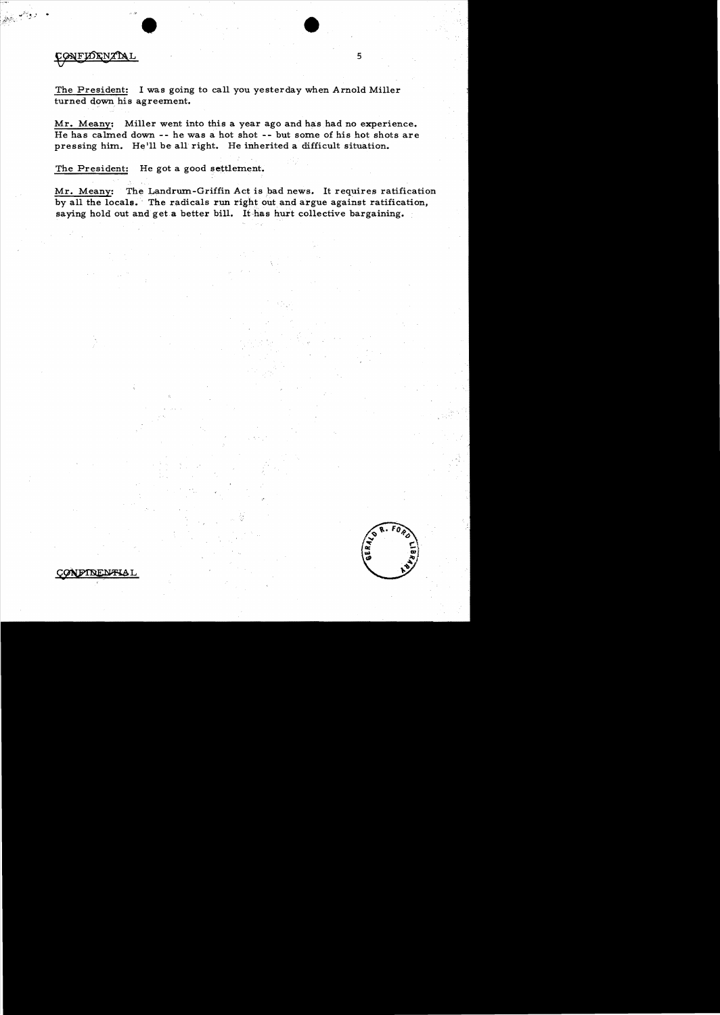CONFIDENTIAL

The President: I was going to call you yesterday when Arnold Miller turned down his agreement.

Mr. Meanv: Miller went into this a year ago and has had no experience. He has calmed down **--** he was a hot shot **--** but some of his hot shots are pressing him. He'll be all right. He inherited a difficult situation.

The President: He got a good settlement.

Mr. Meany: The Landrum-Griffin Act is bad news. It requires ratification by all the locals. The radicals run right out and argue against ratification, saying hold out and get a better bill. It has hurt collective bargaining.



5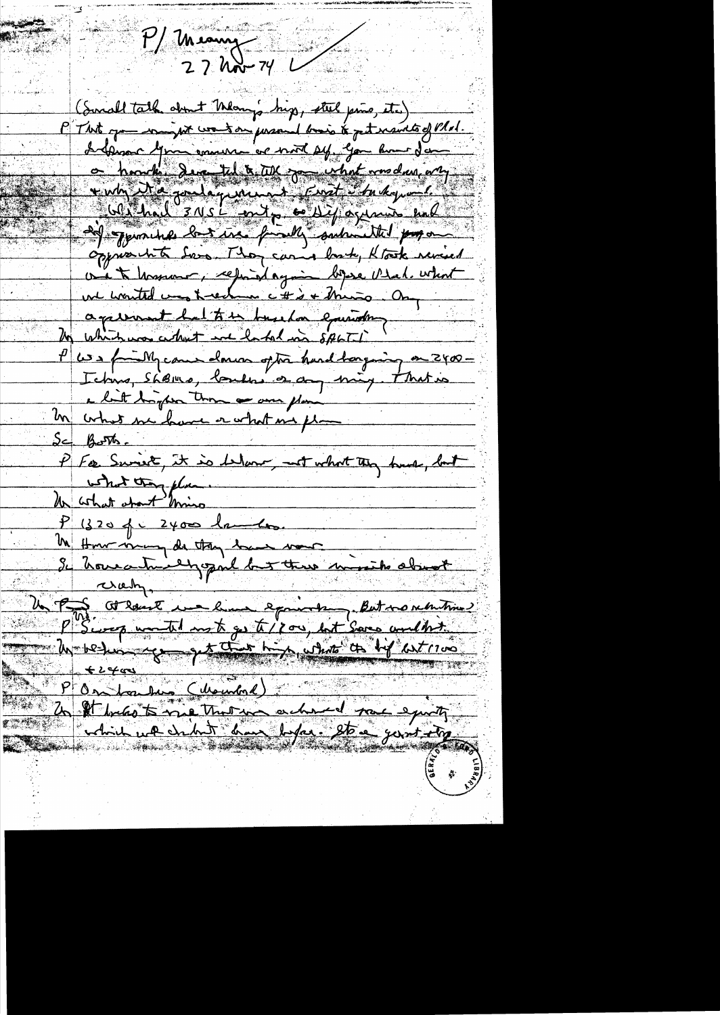P/ meanur  $27$  hor  $74$  L (Small talk about Many hip, steel pins, etc) P That you want went on personal basis to get maints of Plat. I demand you commerce with sy, you have don on honchi deventul à test son what was dan any vivin Na routanisment const c'hadro-Without 3 NS L fort, cold y agunis end 20 -pour has last tree from me submitted por oppresibile Server Thomas cannot brook that revised On te hosseur, ception depuis bezoie Vedech what agreement la table de la equivale P we family came down often hard borging on 2400-Ichus, Shemo, londers a day ming that is a lit try for those one plan In what we have a what me plan  $S = 18.576$ P For Smrit, it is Warr, not what they had, but what they plan Un what about miss  $P(3204 - 2400$ lambo <u>Me Honor many de they have vous</u> Se trouventure en la duce minister about  $P^{NS}$  we then not get /200, but Some unclinity think we chint ham before the yount ty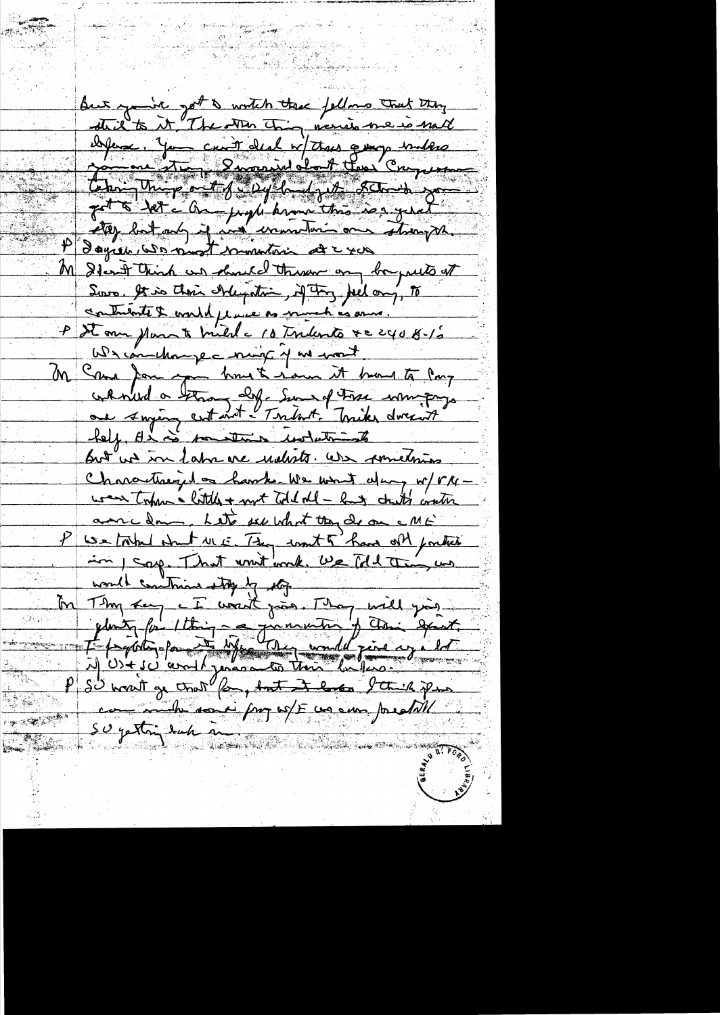But you're got a wortch these fellows trut they thil to it "The other Thing, menis we is mall Der 19 cuit de la Vitre quep indere Jet à 1et - On profit promp this is a gent etter but and if in ununturi on strong P dayse comment munition et cros M Deant think an object there on bapairs at Source, It is their side pation, if they feel any, To contribute & world place as more h as anno. P De our plans te tried a 10 trilents + c 240 B-15 We concluently a month of me wort M Came Jam apon home to rionen it have to Pay continued a benong det Sur of Fixe universe.<br>au singer containt - Tribut, Tribu direct Out us in Labrence unbots. We sometimes Characterized on hander we want along w/ VMwas toppen a little + not told all - hand touth contin anne dans. Let sur what they do on e ME We touted what we they wont of have only porter in 1 say. That writ work, be Mil thing us would continue stop by the In Thy can a I would give mill you P SU want ge trut for, but it lakes I think if you commente donnée pay est une compressable su yathiy dach à SAN SERIKA KAPADIAN JARA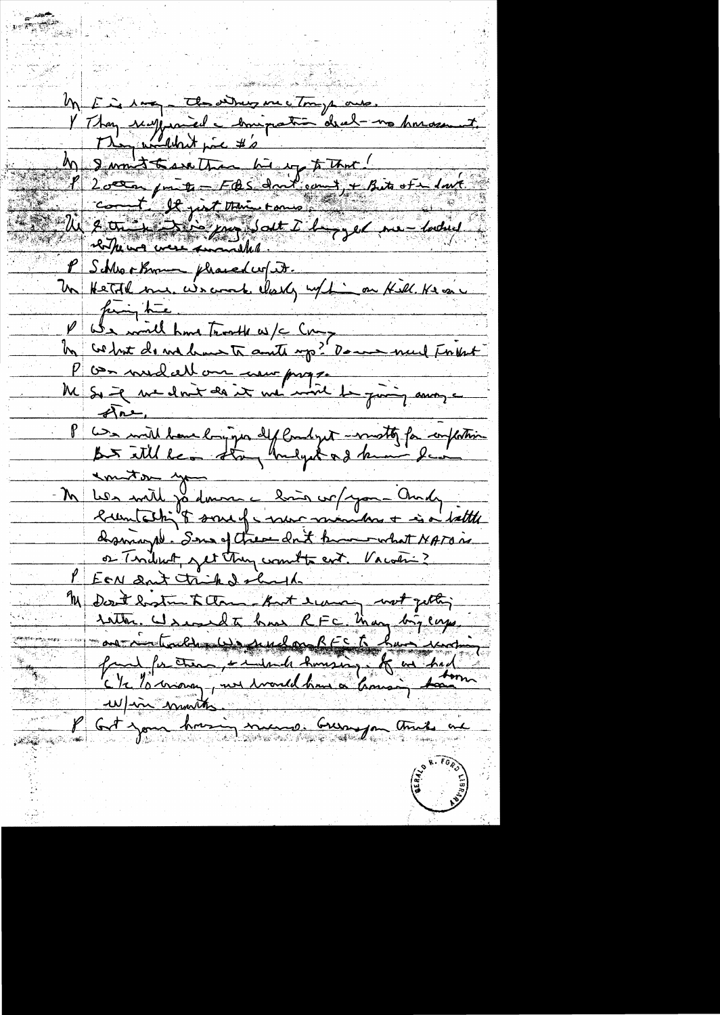Un F à 100, the sidney me trop aus.<br>V Thay surfuniel chrispation drub no horassunt M & month to see that he was to the last of the last of the set of the set of the set of the set of the set of the set of the set of the set of the set of the set of the set of the set of the set of the set of the set of t fing the P We wild have trooth w/c Comparement Friends Les milleure longiques de la liget monditez for completin emitor you Les mille ja domme linin corpo - Andy  $\bm{\mathsf{N}}$ dramuple. Sens of these don't know what NATON or Tendent get trung wont to ent. Vacan: ? <u>rotter. Is en la bas RFC. Man bijemy</u> fait for them, + indeed homing. A as had en ligne munitor.